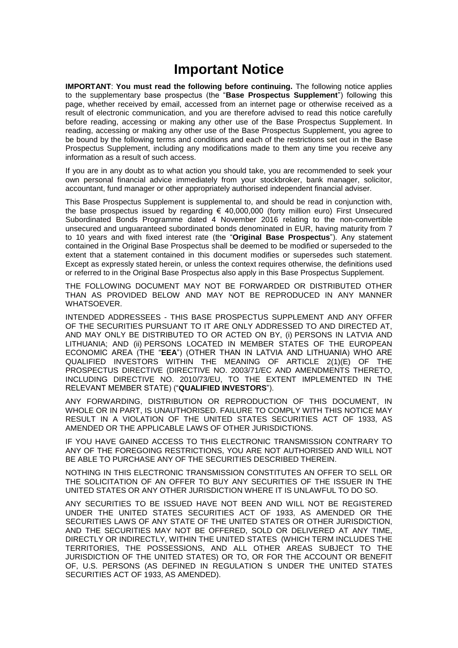# **Important Notice**

**IMPORTANT**: **You must read the following before continuing.** The following notice applies to the supplementary base prospectus (the "**Base Prospectus Supplement**") following this page, whether received by email, accessed from an internet page or otherwise received as a result of electronic communication, and you are therefore advised to read this notice carefully before reading, accessing or making any other use of the Base Prospectus Supplement. In reading, accessing or making any other use of the Base Prospectus Supplement, you agree to be bound by the following terms and conditions and each of the restrictions set out in the Base Prospectus Supplement, including any modifications made to them any time you receive any information as a result of such access.

If you are in any doubt as to what action you should take, you are recommended to seek your own personal financial advice immediately from your stockbroker, bank manager, solicitor, accountant, fund manager or other appropriately authorised independent financial adviser.

This Base Prospectus Supplement is supplemental to, and should be read in conjunction with, the base prospectus issued by regarding € 40,000,000 (forty million euro) First Unsecured Subordinated Bonds Programme dated 4 November 2016 relating to the non*-*convertible unsecured and unguaranteed subordinated bonds denominated in EUR, having maturity from 7 to 10 years and with fixed interest rate (the "**Original Base Prospectus**"). Any statement contained in the Original Base Prospectus shall be deemed to be modified or superseded to the extent that a statement contained in this document modifies or supersedes such statement. Except as expressly stated herein, or unless the context requires otherwise, the definitions used or referred to in the Original Base Prospectus also apply in this Base Prospectus Supplement.

THE FOLLOWING DOCUMENT MAY NOT BE FORWARDED OR DISTRIBUTED OTHER THAN AS PROVIDED BELOW AND MAY NOT BE REPRODUCED IN ANY MANNER WHATSOEVER.

INTENDED ADDRESSEES - THIS BASE PROSPECTUS SUPPLEMENT AND ANY OFFER OF THE SECURITIES PURSUANT TO IT ARE ONLY ADDRESSED TO AND DIRECTED AT, AND MAY ONLY BE DISTRIBUTED TO OR ACTED ON BY, (i) PERSONS IN LATVIA AND LITHUANIA; AND (ii) PERSONS LOCATED IN MEMBER STATES OF THE EUROPEAN ECONOMIC AREA (THE "**EEA**") (OTHER THAN IN LATVIA AND LITHUANIA) WHO ARE QUALIFIED INVESTORS WITHIN THE MEANING OF ARTICLE 2(1)(E) OF THE PROSPECTUS DIRECTIVE (DIRECTIVE NO. 2003/71/EC AND AMENDMENTS THERETO, INCLUDING DIRECTIVE NO. 2010/73/EU, TO THE EXTENT IMPLEMENTED IN THE RELEVANT MEMBER STATE) ("**QUALIFIED INVESTORS**").

ANY FORWARDING, DISTRIBUTION OR REPRODUCTION OF THIS DOCUMENT, IN WHOLE OR IN PART, IS UNAUTHORISED. FAILURE TO COMPLY WITH THIS NOTICE MAY RESULT IN A VIOLATION OF THE UNITED STATES SECURITIES ACT OF 1933, AS AMENDED OR THE APPLICABLE LAWS OF OTHER JURISDICTIONS.

IF YOU HAVE GAINED ACCESS TO THIS ELECTRONIC TRANSMISSION CONTRARY TO ANY OF THE FOREGOING RESTRICTIONS, YOU ARE NOT AUTHORISED AND WILL NOT BE ABLE TO PURCHASE ANY OF THE SECURITIES DESCRIBED THEREIN.

NOTHING IN THIS ELECTRONIC TRANSMISSION CONSTITUTES AN OFFER TO SELL OR THE SOLICITATION OF AN OFFER TO BUY ANY SECURITIES OF THE ISSUER IN THE UNITED STATES OR ANY OTHER JURISDICTION WHERE IT IS UNLAWFUL TO DO SO.

ANY SECURITIES TO BE ISSUED HAVE NOT BEEN AND WILL NOT BE REGISTERED UNDER THE UNITED STATES SECURITIES ACT OF 1933, AS AMENDED OR THE SECURITIES LAWS OF ANY STATE OF THE UNITED STATES OR OTHER JURISDICTION, AND THE SECURITIES MAY NOT BE OFFERED, SOLD OR DELIVERED AT ANY TIME, DIRECTLY OR INDIRECTLY, WITHIN THE UNITED STATES (WHICH TERM INCLUDES THE TERRITORIES, THE POSSESSIONS, AND ALL OTHER AREAS SUBJECT TO THE JURISDICTION OF THE UNITED STATES) OR TO, OR FOR THE ACCOUNT OR BENEFIT OF, U.S. PERSONS (AS DEFINED IN REGULATION S UNDER THE UNITED STATES SECURITIES ACT OF 1933, AS AMENDED).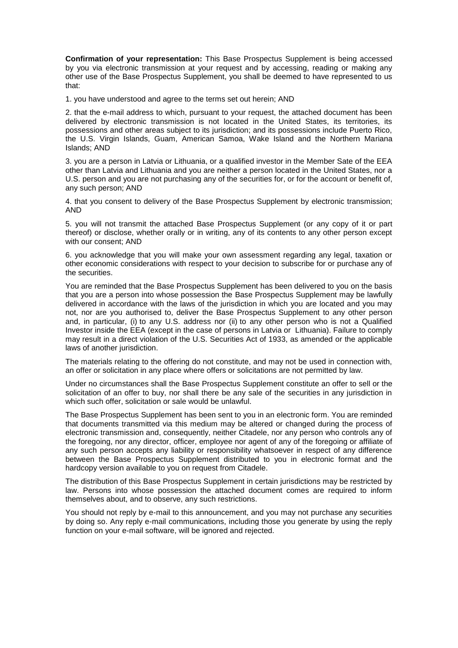**Confirmation of your representation:** This Base Prospectus Supplement is being accessed by you via electronic transmission at your request and by accessing, reading or making any other use of the Base Prospectus Supplement, you shall be deemed to have represented to us that:

1. you have understood and agree to the terms set out herein; AND

2. that the e-mail address to which, pursuant to your request, the attached document has been delivered by electronic transmission is not located in the United States, its territories, its possessions and other areas subject to its jurisdiction; and its possessions include Puerto Rico, the U.S. Virgin Islands, Guam, American Samoa, Wake Island and the Northern Mariana Islands; AND

3. you are a person in Latvia or Lithuania, or a qualified investor in the Member Sate of the EEA other than Latvia and Lithuania and you are neither a person located in the United States, nor a U.S. person and you are not purchasing any of the securities for, or for the account or benefit of, any such person; AND

4. that you consent to delivery of the Base Prospectus Supplement by electronic transmission; AND

5. you will not transmit the attached Base Prospectus Supplement (or any copy of it or part thereof) or disclose, whether orally or in writing, any of its contents to any other person except with our consent; AND

6. you acknowledge that you will make your own assessment regarding any legal, taxation or other economic considerations with respect to your decision to subscribe for or purchase any of the securities.

You are reminded that the Base Prospectus Supplement has been delivered to you on the basis that you are a person into whose possession the Base Prospectus Supplement may be lawfully delivered in accordance with the laws of the jurisdiction in which you are located and you may not, nor are you authorised to, deliver the Base Prospectus Supplement to any other person and, in particular, (i) to any U.S. address nor (ii) to any other person who is not a Qualified Investor inside the EEA (except in the case of persons in Latvia or Lithuania). Failure to comply may result in a direct violation of the U.S. Securities Act of 1933, as amended or the applicable laws of another jurisdiction.

The materials relating to the offering do not constitute, and may not be used in connection with, an offer or solicitation in any place where offers or solicitations are not permitted by law.

Under no circumstances shall the Base Prospectus Supplement constitute an offer to sell or the solicitation of an offer to buy, nor shall there be any sale of the securities in any jurisdiction in which such offer, solicitation or sale would be unlawful.

The Base Prospectus Supplement has been sent to you in an electronic form. You are reminded that documents transmitted via this medium may be altered or changed during the process of electronic transmission and, consequently, neither Citadele, nor any person who controls any of the foregoing, nor any director, officer, employee nor agent of any of the foregoing or affiliate of any such person accepts any liability or responsibility whatsoever in respect of any difference between the Base Prospectus Supplement distributed to you in electronic format and the hardcopy version available to you on request from Citadele.

The distribution of this Base Prospectus Supplement in certain jurisdictions may be restricted by law. Persons into whose possession the attached document comes are required to inform themselves about, and to observe, any such restrictions.

You should not reply by e-mail to this announcement, and you may not purchase any securities by doing so. Any reply e-mail communications, including those you generate by using the reply function on your e-mail software, will be ignored and rejected.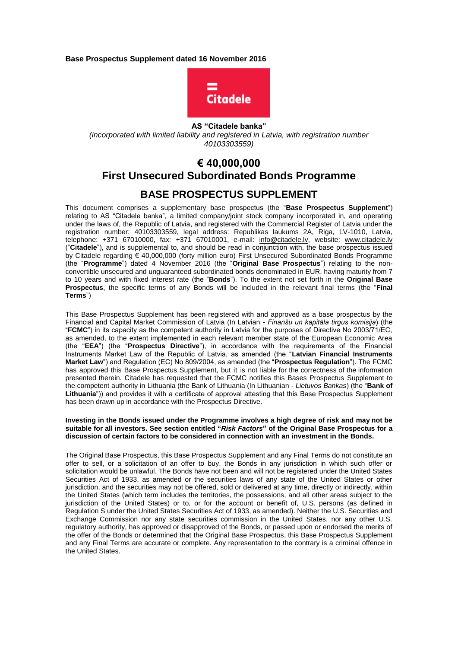**Base Prospectus Supplement dated 16 November 2016**



**AS "Citadele banka"**  *(incorporated with limited liability and registered in Latvia, with registration number 40103303559)* 

## **€ 40,000,000 First Unsecured Subordinated Bonds Programme BASE PROSPECTUS SUPPLEMENT**

This document comprises a supplementary base prospectus (the "**Base Prospectus Supplement**") relating to AS "Citadele banka", a limited company/joint stock company incorporated in, and operating under the laws of, the Republic of Latvia, and registered with the Commercial Register of Latvia under the registration number: 40103303559, legal address: Republikas laukums 2A, Riga, LV-1010, Latvia, telephone: +371 67010000, fax: +371 67010001, e-mail: info@citadele.ly, website: www.citadele.ly ("**Citadele**"), and is supplemental to, and should be read in conjunction with, the base prospectus issued by Citadele regarding € 40,000,000 (forty million euro) First Unsecured Subordinated Bonds Programme (the "**Programme**") dated 4 November 2016 (the "**Original Base Prospectus**") relating to the nonconvertible unsecured and unguaranteed subordinated bonds denominated in EUR, having maturity from 7 to 10 years and with fixed interest rate (the "**Bonds**"). To the extent not set forth in the **Original Base Prospectus**, the specific terms of any Bonds will be included in the relevant final terms (the "**Final Terms**")

This Base Prospectus Supplement has been registered with and approved as a base prospectus by the Financial and Capital Market Commission of Latvia (In Latvian - *Finanšu un kapitāla tirgus komisija*) (the "**FCMC**") in its capacity as the competent authority in Latvia for the purposes of Directive No 2003/71/EC, as amended, to the extent implemented in each relevant member state of the European Economic Area (the "**EEA**") (the "**Prospectus Directive**"), in accordance with the requirements of the Financial Instruments Market Law of the Republic of Latvia, as amended (the "**Latvian Financial Instruments Market Law**") and Regulation (EC) No 809/2004, as amended (the "**Prospectus Regulation**"). The FCMC has approved this Base Prospectus Supplement, but it is not liable for the correctness of the information presented therein. Citadele has requested that the FCMC notifies this Bases Prospectus Supplement to the competent authority in Lithuania (the Bank of Lithuania (In Lithuanian - *Lietuvos Bankas*) (the "**Bank of Lithuania**")) and provides it with a certificate of approval attesting that this Base Prospectus Supplement has been drawn up in accordance with the Prospectus Directive.

#### **Investing in the Bonds issued under the Programme involves a high degree of risk and may not be suitable for all investors. See section entitled "***Risk Factors***" of the Original Base Prospectus for a discussion of certain factors to be considered in connection with an investment in the Bonds.**

The Original Base Prospectus, this Base Prospectus Supplement and any Final Terms do not constitute an offer to sell, or a solicitation of an offer to buy, the Bonds in any jurisdiction in which such offer or solicitation would be unlawful. The Bonds have not been and will not be registered under the United States Securities Act of 1933, as amended or the securities laws of any state of the United States or other jurisdiction, and the securities may not be offered, sold or delivered at any time, directly or indirectly, within the United States (which term includes the territories, the possessions, and all other areas subject to the jurisdiction of the United States) or to, or for the account or benefit of, U.S. persons (as defined in Regulation S under the United States Securities Act of 1933, as amended). Neither the U.S. Securities and Exchange Commission nor any state securities commission in the United States, nor any other U.S. regulatory authority, has approved or disapproved of the Bonds, or passed upon or endorsed the merits of the offer of the Bonds or determined that the Original Base Prospectus, this Base Prospectus Supplement and any Final Terms are accurate or complete. Any representation to the contrary is a criminal offence in the United States.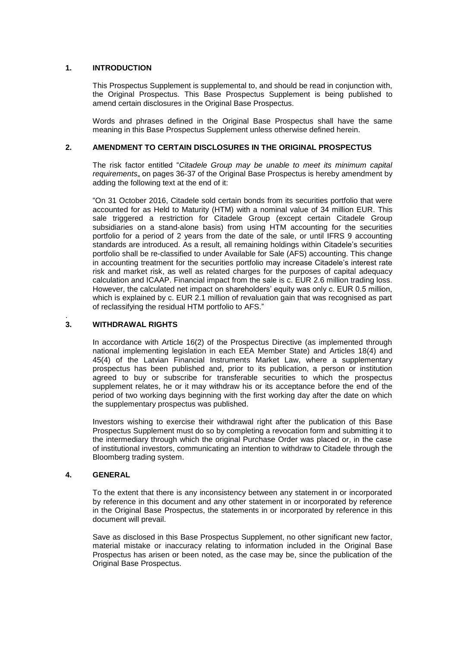## **1. INTRODUCTION**

This Prospectus Supplement is supplemental to, and should be read in conjunction with, the Original Prospectus. This Base Prospectus Supplement is being published to amend certain disclosures in the Original Base Prospectus.

Words and phrases defined in the Original Base Prospectus shall have the same meaning in this Base Prospectus Supplement unless otherwise defined herein.

## **2. AMENDMENT TO CERTAIN DISCLOSURES IN THE ORIGINAL PROSPECTUS**

The risk factor entitled "*Citadele Group may be unable to meet its minimum capital requirements*" on pages 36-37 of the Original Base Prospectus is hereby amendment by adding the following text at the end of it:

"On 31 October 2016, Citadele sold certain bonds from its securities portfolio that were accounted for as Held to Maturity (HTM) with a nominal value of 34 million EUR. This sale triggered a restriction for Citadele Group (except certain Citadele Group subsidiaries on a stand-alone basis) from using HTM accounting for the securities portfolio for a period of 2 years from the date of the sale, or until IFRS 9 accounting standards are introduced. As a result, all remaining holdings within Citadele's securities portfolio shall be re-classified to under Available for Sale (AFS) accounting. This change in accounting treatment for the securities portfolio may increase Citadele's interest rate risk and market risk, as well as related charges for the purposes of capital adequacy calculation and ICAAP. Financial impact from the sale is c. EUR 2.6 million trading loss. However, the calculated net impact on shareholders' equity was only c. EUR 0.5 million, which is explained by c. EUR 2.1 million of revaluation gain that was recognised as part of reclassifying the residual HTM portfolio to AFS."

#### . **3. WITHDRAWAL RIGHTS**

In accordance with Article 16(2) of the Prospectus Directive (as implemented through national implementing legislation in each EEA Member State) and Articles 18(4) and 45(4) of the Latvian Financial Instruments Market Law, where a supplementary prospectus has been published and, prior to its publication, a person or institution agreed to buy or subscribe for transferable securities to which the prospectus supplement relates, he or it may withdraw his or its acceptance before the end of the period of two working days beginning with the first working day after the date on which the supplementary prospectus was published.

Investors wishing to exercise their withdrawal right after the publication of this Base Prospectus Supplement must do so by completing a revocation form and submitting it to the intermediary through which the original Purchase Order was placed or, in the case of institutional investors, communicating an intention to withdraw to Citadele through the Bloomberg trading system.

#### **4. GENERAL**

To the extent that there is any inconsistency between any statement in or incorporated by reference in this document and any other statement in or incorporated by reference in the Original Base Prospectus, the statements in or incorporated by reference in this document will prevail.

Save as disclosed in this Base Prospectus Supplement, no other significant new factor, material mistake or inaccuracy relating to information included in the Original Base Prospectus has arisen or been noted, as the case may be, since the publication of the Original Base Prospectus.